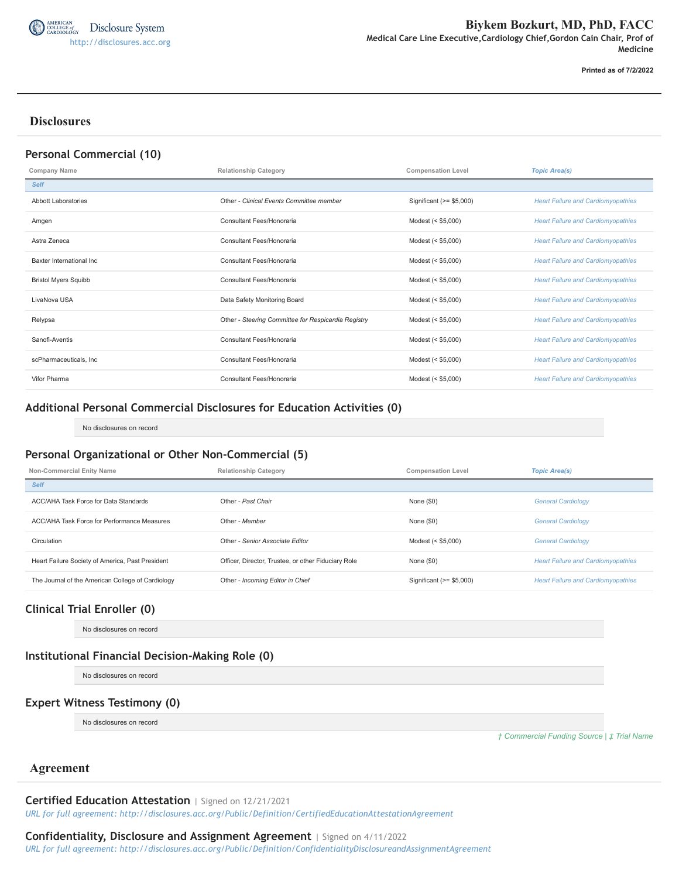

**Printed as of 7/2/2022**

## **Disclosures**

#### **Personal Commercial (10)**

| <b>Company Name</b>         | <b>Relationship Category</b>                        | <b>Compensation Level</b> | <b>Topic Area(s)</b>                      |
|-----------------------------|-----------------------------------------------------|---------------------------|-------------------------------------------|
| <b>Self</b>                 |                                                     |                           |                                           |
| <b>Abbott Laboratories</b>  | Other - Clinical Events Committee member            | Significant (>= \$5,000)  | <b>Heart Failure and Cardiomyopathies</b> |
| Amgen                       | Consultant Fees/Honoraria                           | Modest (< \$5,000)        | <b>Heart Failure and Cardiomyopathies</b> |
| Astra Zeneca                | Consultant Fees/Honoraria                           | Modest (< \$5,000)        | <b>Heart Failure and Cardiomyopathies</b> |
| Baxter International Inc.   | Consultant Fees/Honoraria                           | Modest (< \$5,000)        | <b>Heart Failure and Cardiomyopathies</b> |
| <b>Bristol Myers Squibb</b> | Consultant Fees/Honoraria                           | Modest (< \$5,000)        | <b>Heart Failure and Cardiomyopathies</b> |
| LivaNova USA                | Data Safety Monitoring Board                        | Modest (< \$5,000)        | <b>Heart Failure and Cardiomyopathies</b> |
| Relypsa                     | Other - Steering Committee for Respicardia Registry | Modest (< \$5,000)        | <b>Heart Failure and Cardiomyopathies</b> |
| Sanofi-Aventis              | Consultant Fees/Honoraria                           | Modest (< \$5,000)        | <b>Heart Failure and Cardiomyopathies</b> |
| scPharmaceuticals, Inc      | Consultant Fees/Honoraria                           | Modest (< \$5,000)        | <b>Heart Failure and Cardiomyopathies</b> |
| Vifor Pharma                | Consultant Fees/Honoraria                           | Modest (< \$5,000)        | <b>Heart Failure and Cardiomyopathies</b> |

## **Additional Personal Commercial Disclosures for Education Activities (0)**

No disclosures on record

#### **Personal Organizational or Other Non-Commercial (5)**

| Non-Commercial Enity Name                         | <b>Relationship Category</b>                        | <b>Compensation Level</b> | <b>Topic Area(s)</b>                      |
|---------------------------------------------------|-----------------------------------------------------|---------------------------|-------------------------------------------|
| <b>Self</b>                                       |                                                     |                           |                                           |
| ACC/AHA Task Force for Data Standards             | Other - Past Chair                                  | None $(\$0)$              | <b>General Cardiology</b>                 |
| ACC/AHA Task Force for Performance Measures       | Other - Member                                      | None $(\$0)$              | <b>General Cardiology</b>                 |
| Circulation                                       | Other - Senior Associate Editor                     | Modest (< \$5,000)        | <b>General Cardiology</b>                 |
| Heart Failure Society of America, Past President  | Officer, Director, Trustee, or other Fiduciary Role | None $(\$0)$              | <b>Heart Failure and Cardiomyopathies</b> |
| The Journal of the American College of Cardiology | Other - Incoming Editor in Chief                    | Significant (>= \$5,000)  | <b>Heart Failure and Cardiomyopathies</b> |

## **Clinical Trial Enroller (0)**

No disclosures on record

#### **Institutional Financial Decision-Making Role (0)**

No disclosures on record

#### **Expert Witness Testimony (0)**

No disclosures on record

*† Commercial Funding Source | ‡ Trial Name*

## **Agreement**

#### **Certified Education Attestation** | Signed on 12/21/2021

*URL for full agreement: http://disclosures.acc.org/Public/Definition/CertifiedEducationAttestationAgreement*

# **Confidentiality, Disclosure and Assignment Agreement** | Signed on 4/11/2022

*URL for full agreement: http://disclosures.acc.org/Public/Definition/ConfidentialityDisclosureandAssignmentAgreement*